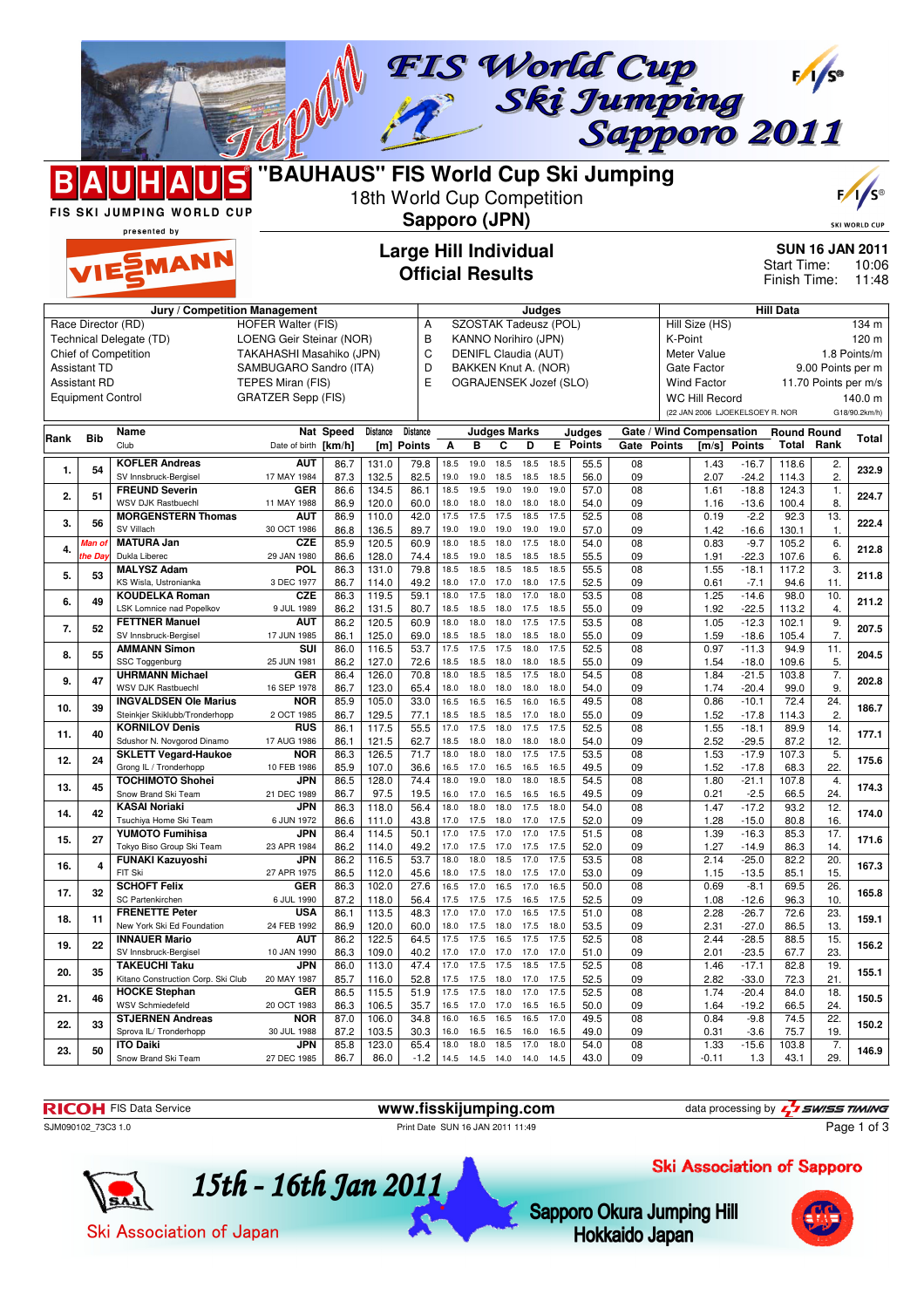$\Lambda$ 

**BAUH** 



|      |                          | FIS SKI JUMPING WORLD CUP                                 |                                                    |                  | 18th World Cup Competition | Sapporo (JPN)                                           |              |                             |                        |                                              |              |                 |             |         |                          |                                 |                             |                        | $\frac{1}{5}$                                                    |
|------|--------------------------|-----------------------------------------------------------|----------------------------------------------------|------------------|----------------------------|---------------------------------------------------------|--------------|-----------------------------|------------------------|----------------------------------------------|--------------|-----------------|-------------|---------|--------------------------|---------------------------------|-----------------------------|------------------------|------------------------------------------------------------------|
|      |                          | presented by<br>VIESMANN                                  |                                                    |                  |                            | <b>Large Hill Individual</b><br><b>Official Results</b> |              |                             |                        |                                              |              |                 |             |         |                          |                                 | Start Time:<br>Finish Time: |                        | <b>SKI WORLD CUP</b><br><b>SUN 16 JAN 2011</b><br>10:06<br>11:48 |
|      |                          |                                                           |                                                    |                  |                            |                                                         |              |                             |                        |                                              |              |                 |             |         |                          |                                 |                             |                        |                                                                  |
|      |                          |                                                           | Jury / Competition Management                      |                  |                            |                                                         |              |                             |                        | Judges                                       |              |                 |             |         |                          |                                 | <b>Hill Data</b>            |                        |                                                                  |
|      |                          | Race Director (RD)                                        | <b>HOFER Walter (FIS)</b>                          |                  |                            | Α                                                       |              |                             |                        | SZOSTAK Tadeusz (POL)                        |              |                 |             |         | Hill Size (HS)           |                                 |                             |                        | 134 m                                                            |
|      |                          | Technical Delegate (TD)<br>Chief of Competition           | LOENG Geir Steinar (NOR)                           |                  |                            | B<br>C                                                  |              |                             |                        | KANNO Norihiro (JPN)<br>DENIFL Claudia (AUT) |              |                 |             | K-Point | Meter Value              |                                 |                             |                        | 120 m<br>1.8 Points/m                                            |
|      | <b>Assistant TD</b>      |                                                           | TAKAHASHI Masahiko (JPN)<br>SAMBUGARO Sandro (ITA) |                  |                            | D                                                       |              |                             |                        | BAKKEN Knut A. (NOR)                         |              |                 |             |         | Gate Factor              |                                 |                             | 9.00 Points per m      |                                                                  |
|      | <b>Assistant RD</b>      |                                                           | TEPES Miran (FIS)                                  |                  |                            | E                                                       |              |                             |                        | OGRAJENSEK Jozef (SLO)                       |              |                 |             |         | <b>Wind Factor</b>       |                                 |                             | 11.70 Points per m/s   |                                                                  |
|      | <b>Equipment Control</b> |                                                           | <b>GRATZER Sepp (FIS)</b>                          |                  |                            |                                                         |              |                             |                        |                                              |              |                 |             |         | <b>WC Hill Record</b>    |                                 |                             |                        | 140.0 m                                                          |
|      |                          |                                                           |                                                    |                  |                            |                                                         |              |                             |                        |                                              |              |                 |             |         |                          | (22 JAN 2006 LJOEKELSOEY R. NOR |                             |                        | G18/90.2km/h)                                                    |
|      |                          | Name                                                      |                                                    | <b>Nat Speed</b> | Distance                   | <b>Distance</b>                                         |              |                             | <b>Judges Marks</b>    |                                              |              | Judges          |             |         | Gate / Wind Compensation |                                 | <b>Round Round</b>          |                        |                                                                  |
| Rank | <b>Bib</b>               | Club                                                      | Date of birth [km/h]                               |                  | [m]                        | <b>Points</b>                                           | А            | в                           | C                      | D                                            |              | <b>E</b> Points | Gate Points |         | [m/s]                    | <b>Points</b>                   |                             | <b>Total Rank</b>      | Total                                                            |
| 1.   | 54                       | <b>KOFLER Andreas</b>                                     | AUT                                                | 86.7             | 131.0                      | 79.8                                                    | 18.5         | 19.0                        | 18.5                   | 18.5                                         | 18.5         | 55.5            | 08          |         | 1.43                     | $-16.7$                         | 118.6                       | 2.                     | 232.9                                                            |
|      |                          | SV Innsbruck-Bergisel                                     | 17 MAY 1984                                        | 87.3             | 132.5                      | 82.5                                                    | 19.0         | 19.0                        | 18.5                   | 18.5                                         | 18.5         | 56.0            | 09          |         | 2.07                     | $-24.2$                         | 114.3                       | $\overline{2}$         |                                                                  |
| 2.   | 51                       | <b>FREUND Severin</b><br><b>WSV DJK Rastbuechl</b>        | <b>GER</b><br>11 MAY 1988                          | 86.6<br>86.9     | 134.5<br>120.0             | 86.1<br>60.0                                            | 18.5<br>18.0 | 19.5<br>18.0                | 19.0<br>18.0           | 19.0<br>18.0                                 | 19.0<br>18.0 | 57.0<br>54.0    | 08<br>09    |         | 1.61<br>1.16             | $-18.8$<br>$-13.6$              | 124.3<br>100.4              | 1.<br>8.               | 224.7                                                            |
|      |                          | <b>MORGENSTERN Thomas</b>                                 | AUT                                                | 86.9             | 110.0                      | 42.0                                                    | 17.5         | 17.5                        | 17.5                   | 18.5                                         | 17.5         | 52.5            | 08          |         | 0.19                     | $-2.2$                          | 92.3                        | 13.                    |                                                                  |
| 3.   | 56                       | SV Villach                                                | 30 OCT 1986                                        | 86.8             | 136.5                      | 89.7                                                    | 19.0         | 19.0                        | 19.0                   | 19.0                                         | 19.0         | 57.0            | 09          |         | 1.42                     | $-16.6$                         | 130.1                       | 1.                     | 222.4                                                            |
| 4.   | Man of                   | <b>MATURA Jan</b>                                         | CZE                                                | 85.9             | 120.5                      | 60.9                                                    | 18.0         | 18.5                        | 18.0                   | 17.5                                         | 18.0         | 54.0            | 08          |         | 0.83                     | $-9.7$                          | 105.2                       | 6.                     | 212.8                                                            |
|      | he Day                   | Dukla Liberec<br><b>MALYSZ Adam</b>                       | 29 JAN 1980<br>POL                                 | 86.6<br>86.3     | 128.0<br>131.0             | 74.4<br>79.8                                            | 18.5<br>18.5 | 19.0<br>18.5                | 18.5<br>18.5           | 18.5<br>18.5                                 | 18.5<br>18.5 | 55.5<br>55.5    | 09<br>08    |         | 1.91<br>1.55             | $-22.3$<br>$-18.1$              | 107.6<br>117.2              | 6.<br>3.               |                                                                  |
| 5.   | 53                       | KS Wisla, Ustronianka                                     | 3 DEC 1977                                         | 86.7             | 114.0                      | 49.2                                                    | 18.0         | 17.0                        | 17.0                   | 18.0                                         | 17.5         | 52.5            | 09          |         | 0.61                     | $-7.1$                          | 94.6                        | 11.                    | 211.8                                                            |
| 6.   | 49                       | <b>KOUDELKA Roman</b>                                     | <b>CZE</b>                                         | 86.3             | 119.5                      | 59.1                                                    | 18.0         | 17.5                        | 18.0                   | 17.0                                         | 18.0         | 53.5            | 08          |         | 1.25                     | $-14.6$                         | 98.0                        | 10.                    | 211.2                                                            |
|      |                          | LSK Lomnice nad Popelkov                                  | 9 JUL 1989                                         | 86.2             | 131.5                      | 80.7                                                    | 18.5         | 18.5                        | 18.0                   | 17.5<br>17.5                                 | 18.5<br>17.5 | 55.0<br>53.5    | 09<br>08    |         | 1.92<br>1.05             | $-22.5$<br>$-12.3$              | 113.2<br>102.1              | 4.<br>9.               |                                                                  |
| 7.   | 52                       | <b>FETTNER Manuel</b><br>SV Innsbruck-Bergisel            | AUT<br>17 JUN 1985                                 | 86.2<br>86.1     | 120.5<br>125.0             | 60.9<br>69.0                                            | 18.0<br>18.5 | 18.0<br>18.5                | 18.0<br>18.0           | 18.5                                         | 18.0         | 55.0            | 09          |         | 1.59                     | $-18.6$                         | 105.4                       | 7.                     | 207.5                                                            |
| 8.   | 55                       | <b>AMMANN Simon</b>                                       | <b>SUI</b>                                         | 86.0             | 116.5                      | 53.7                                                    | 17.5         | 17.5                        | 17.5                   | 18.0                                         | 17.5         | 52.5            | 08          |         | 0.97                     | $-11.3$                         | 94.9                        | 11.                    | 204.5                                                            |
|      |                          | SSC Toggenburg                                            | 25 JUN 1981                                        | 86.2             | 127.0                      | 72.6                                                    | 18.5         | 18.5                        | 18.0                   | 18.0                                         | 18.5         | 55.0            | 09          |         | 1.54                     | $-18.0$                         | 109.6                       | 5.                     |                                                                  |
| 9.   | 47                       | <b>UHRMANN Michael</b><br><b>WSV DJK Rastbuechl</b>       | <b>GER</b><br>16 SEP 1978                          | 86.4<br>86.7     | 126.0<br>123.0             | 70.8<br>65.4                                            | 18.0<br>18.0 | 18.5<br>18.0                | 18.5<br>18.0           | 17.5<br>18.0                                 | 18.0<br>18.0 | 54.5<br>54.0    | 08<br>09    |         | 1.84<br>1.74             | $-21.5$<br>$-20.4$              | 103.8<br>99.0               | $\overline{7}$ .<br>9. | 202.8                                                            |
|      |                          | <b>INGVALDSEN Ole Marius</b>                              | <b>NOR</b>                                         | 85.9             | 105.0                      | 33.0                                                    | 16.5         | 16.5                        | 16.5                   | 16.0                                         | 16.5         | 49.5            | 08          |         | 0.86                     | $-10.1$                         | 72.4                        | 24.                    |                                                                  |
| 10.  | 39                       | Steinkjer Skiklubb/Tronderhopp                            | 2 OCT 1985                                         | 86.7             | 129.5                      | 77.1                                                    | 18.5         | 18.5                        | 18.5                   | 17.0                                         | 18.0         | 55.0            | 09          |         | 1.52                     | $-17.8$                         | 114.3                       | $\overline{2}$         | 186.7                                                            |
| 11.  | 40                       | <b>KORNILOV Denis</b>                                     | <b>RUS</b>                                         | 86.1             | 117.5                      | 55.5                                                    | 17.0         | 17.5                        | 18.0                   | 17.5                                         | 17.5         | 52.5            | 08          |         | 1.55                     | $-18.1$                         | 89.9                        | 14.                    | 177.1                                                            |
|      |                          | Sdushor N. Novgorod Dinamo<br><b>SKLETT Vegard-Haukoe</b> | 17 AUG 1986<br><b>NOR</b>                          | 86.1<br>86.3     | 121.5<br>126.5             | 62.7<br>71.7                                            | 18.5<br>18.0 | 18.0<br>18.0                | 18.0<br>18.0           | 18.0<br>17.5                                 | 18.0<br>17.5 | 54.0<br>53.5    | 09<br>08    |         | 2.52<br>1.53             | $-29.5$<br>$-17.9$              | 87.2<br>107.3               | 12.<br>$\overline{5}$  |                                                                  |
| 12.  | 24                       | Grong IL / Tronderhopp                                    | 10 FEB 1986                                        | 85.9             | 107.0                      | 36.6                                                    | 16.5         | 17.0                        | 16.5                   | 16.5                                         | 16.5         | 49.5            | 09          |         | 1.52                     | $-17.8$                         | 68.3                        | 22.                    | 175.6                                                            |
| 13.  | 45                       | <b>TOCHIMOTO Shohei</b>                                   | JPN                                                | 86.5             | 128.0                      | 74.4                                                    | 18.0         | 19.0                        | 18.0                   | 18.0                                         | 18.5         | 54.5            | 08          |         | 1.80                     | $-21.1$                         | 107.8                       | 4.                     | 174.3                                                            |
|      |                          | Snow Brand Ski Team<br><b>KASAI Noriaki</b>               | 21 DEC 1989<br>JPN                                 | 86.7             | 97.5                       | 19.5                                                    | 16.0<br>18.0 | 17.0<br>18.0                | 16.5<br>18.0           | 16.5<br>17.5                                 | 16.5<br>18.0 | 49.5            | 09          |         | 0.21                     | $-2.5$                          | 66.5                        | 24.<br>12.             |                                                                  |
| 14.  | 42                       | Tsuchiya Home Ski Team                                    | 6 JUN 1972                                         | 86.3<br>86.6     | 118.0<br>111.0             | 56.4<br>43.8                                            | 17.0         | 17.5                        | 18.0                   | 17.0                                         | 17.5         | 54.0<br>52.0    | 08<br>09    |         | 1.47<br>1.28             | $-17.2$<br>$-15.0$              | 93.2<br>80.8                | 16.                    | 174.0                                                            |
| 15.  | 27                       | <b>YUMOTO Fumihisa</b>                                    | JPN                                                | 86.4             | 114.5                      | 50.1                                                    | 17.0         | 17.5                        | 17.0                   | 17.0                                         | 17.5         | 51.5            | 08          |         | 1.39                     | $-16.3$                         | 85.3                        | 17.                    | 171.6                                                            |
|      |                          | Tokyo Biso Group Ski Team                                 | 23 APR 1984                                        | 86.2             | 114.0                      | 49.2                                                    | 17.0         | 17.5                        | 17.0                   | 17.5                                         | 17.5         | 52.0            | 09          |         | 1.27                     | $-14.9$                         | 86.3                        | 14.                    |                                                                  |
| 16.  | 4                        | <b>FUNAKI Kazuyoshi</b><br>FIT Ski                        | JPN<br>27 APR 1975                                 | 86.2<br>86.5     | 116.5                      | 53.7<br>45.6                                            | 18.0<br>18.0 | 18.0<br>17.5                | 18.5<br>18.0           | 17.0<br>17.5                                 | 17.5<br>17.0 | 53.5<br>53.0    | 08<br>09    |         | 2.14                     | $-25.0$<br>$-13.5$              | 82.2<br>85.1                | 20.<br>15.             | 167.3                                                            |
|      |                          | <b>SCHOFT Felix</b>                                       | <b>GER</b>                                         | 86.3             | 112.0<br>102.0             | 27.6                                                    | 16.5         | 17.0                        | 16.5                   | 17.0                                         | 16.5         | 50.0            | 08          |         | 1.15<br>0.69             | $-8.1$                          | 69.5                        | $\overline{26}$        |                                                                  |
| 17.  | 32                       | SC Partenkirchen                                          | 6 JUL 1990                                         | 87.2             | 118.0                      | 56.4                                                    |              | 17.5 17.5 17.5 16.5         |                        |                                              | 17.5         | 52.5            | 09          |         | 1.08                     | $-12.6$                         | 96.3                        | 10.                    | 165.8                                                            |
| 18.  | 11                       | <b>FRENETTE Peter</b>                                     | <b>USA</b>                                         | 86.1             | 113.5                      | 48.3                                                    | 17.0         |                             | 17.0 17.0              | 16.5                                         | 17.5         | 51.0            | 08          |         | 2.28                     | $-26.7$                         | 72.6                        | 23.                    | 159.1                                                            |
|      |                          | New York Ski Ed Foundation<br><b>INNAUER Mario</b>        | 24 FEB 1992<br><b>AUT</b>                          | 86.9<br>86.2     | 120.0<br>122.5             | 60.0<br>64.5                                            | 18.0<br>17.5 |                             | 17.5 18.0<br>17.5 16.5 | 17.5<br>17.5                                 | 18.0<br>17.5 | 53.5<br>52.5    | 09<br>08    |         | 2.31<br>2.44             | $-27.0$<br>$-28.5$              | 86.5<br>88.5                | 13.<br>15.             |                                                                  |
| 19.  | 22                       | SV Innsbruck-Bergisel                                     | 10 JAN 1990                                        | 86.3             | 109.0                      | 40.2                                                    | 17.0         | 17.0                        | 17.0                   | 17.0                                         | 17.0         | 51.0            | 09          |         | 2.01                     | $-23.5$                         | 67.7                        | 23.                    | 156.2                                                            |
| 20.  | 35                       | <b>TAKEUCHI Taku</b>                                      | JPN                                                | 86.0             | 113.0                      | 47.4                                                    | 17.0         | 17.5                        | 17.5                   | 18.5                                         | 17.5         | 52.5            | 08          |         | 1.46                     | $-17.1$                         | 82.8                        | 19.                    | 155.1                                                            |
|      |                          | Kitano Construction Corp. Ski Club                        | 20 MAY 1987                                        | 85.7             | 116.0                      | 52.8                                                    | 17.5         |                             | 17.5 18.0              | 17.0                                         | 17.5         | 52.5            | 09          |         | 2.82                     | $-33.0$                         | 72.3                        | 21.                    |                                                                  |
| 21.  | 46                       | <b>HOCKE Stephan</b><br><b>WSV Schmiedefeld</b>           | <b>GER</b><br>20 OCT 1983                          | 86.5<br>86.3     | 115.5<br>106.5             | 51.9<br>35.7                                            | 17.5<br>16.5 |                             | 17.5 18.0<br>17.0 17.0 | 17.0<br>16.5                                 | 17.5<br>16.5 | 52.5<br>50.0    | 08<br>09    |         | 1.74<br>1.64             | $-20.4$<br>$-19.2$              | 84.0<br>66.5                | 18.<br>24.             | 150.5                                                            |
|      |                          | <b>STJERNEN Andreas</b>                                   | <b>NOR</b>                                         | 87.0             | 106.0                      | 34.8                                                    | 16.0         |                             | 16.5 16.5              | 16.5                                         | 17.0         | 49.5            | 08          |         | 0.84                     | $-9.8$                          | 74.5                        | 22.                    |                                                                  |
| 22.  | 33                       | Sprova IL/ Tronderhopp                                    | 30 JUL 1988                                        | 87.2             | 103.5                      | 30.3                                                    | 16.0         |                             | 16.5 16.5              | 16.0                                         | 16.5         | 49.0            | 09          |         | 0.31                     | $-3.6$                          | 75.7                        | 19.                    | 150.2                                                            |
| 23.  | 50                       | <b>ITO Daiki</b><br>Snow Brand Ski Team                   | JPN<br>27 DEC 1985                                 | 85.8<br>86.7     | 123.0<br>86.0              | 65.4<br>$-1.2$                                          | 18.0         | 18.0<br>14.5 14.5 14.0 14.0 | 18.5                   | 17.0                                         | 18.0<br>14.5 | 54.0<br>43.0    | 08<br>09    |         | 1.33                     | $-15.6$                         | 103.8<br>43.1               | 7.<br>29.              | 146.9                                                            |
|      |                          |                                                           |                                                    |                  |                            |                                                         |              |                             |                        |                                              |              |                 |             |         | $-0.11$                  | 1.3                             |                             |                        |                                                                  |

**RICOH** FIS Data Service **www.fisskijumping.com** data processing by  $\frac{1}{2}$ 

SJM090102\_73C3 1.0 Print Date SUN 16 JAN 2011 11:49

*I SWISS TIMING* Page 1 of 3

Ski Association of Sapporo



Sapporo Okura Jumping Hill Hokkaido Japan



Ski Association of Japan



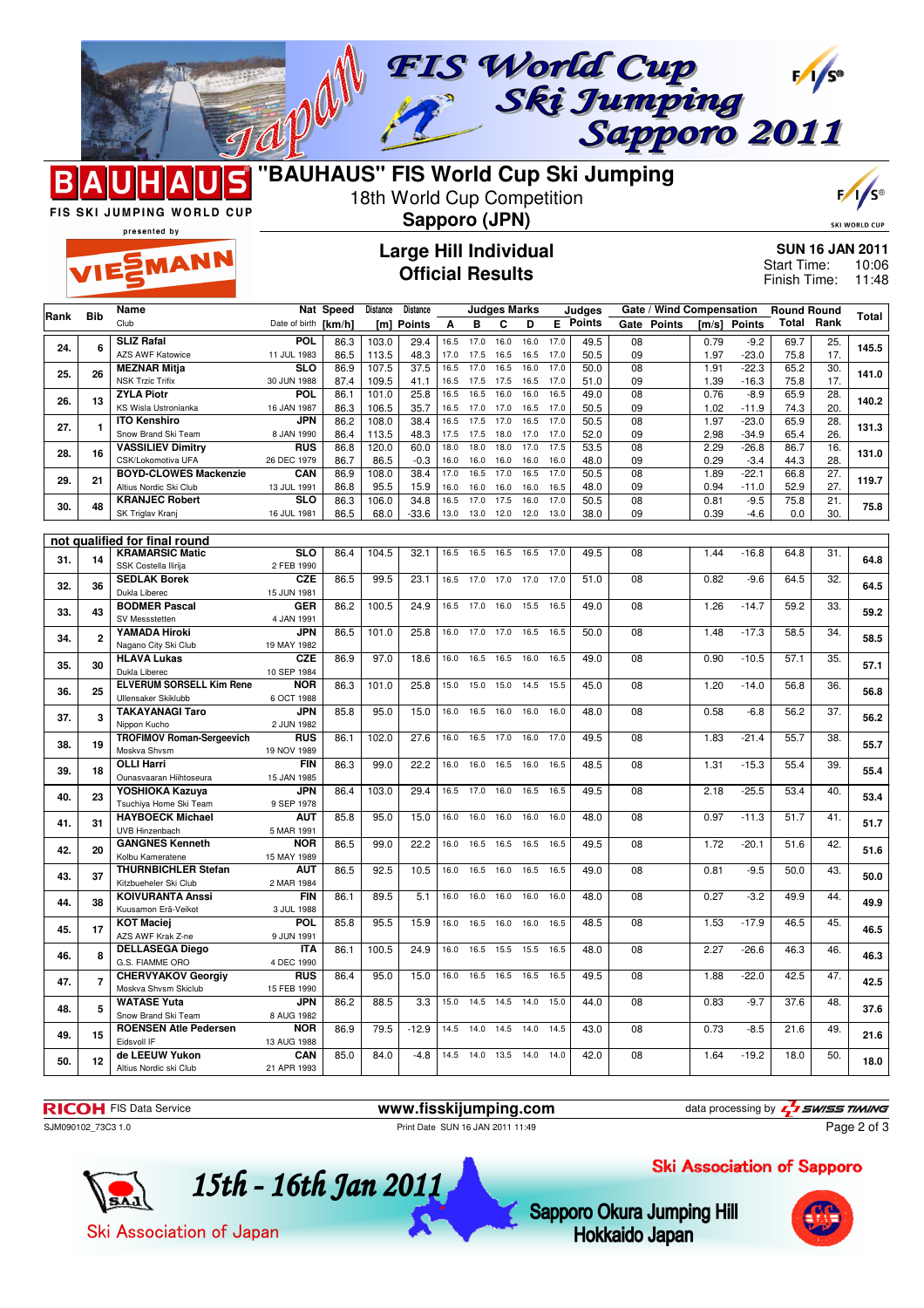

MANN



18th World Cup Competition



**SKI WORLD** 

FIS SKI JUMPING WORLD CUP presented by

## **Large Hill Individual Official Results**

**Sapporo (JPN)**

**SUN 16 JAN 2011** 10:06 Finish Time: 11:48 Start Time:

| Name<br>Nat Speed<br>Distance<br><b>Distance</b><br><b>Judges Marks</b><br>Gate / Wind Compensation<br>Judges<br><b>Round Round</b><br>Rank<br><b>Bib</b><br>Club<br>Е<br><b>Points</b><br><b>Points</b><br>Total<br>Rank<br>Date of birth [km/h]<br><b>Points</b><br>Α<br>в<br>С<br>D<br>Gate<br>$\mathsf{[m/s]}$<br><b>Points</b><br>[m]<br>POL<br>103.0<br>17.0<br>$\overline{08}$<br>0.79<br>69.7<br>25.<br><b>SLIZ Rafal</b><br>86.3<br>29.4<br>16.5<br>17.0<br>16.0<br>16.0<br>49.5<br>$-9.2$<br>24.<br>6<br>17.<br><b>AZS AWF Katowice</b><br>11 JUL 1983<br>86.5<br>113.5<br>48.3<br>17.0<br>17.5<br>16.5<br>16.5<br>17.0<br>50.5<br>09<br>1.97<br>$-23.0$<br>75.8<br>$\overline{08}$<br>$-22.3$<br>30.<br><b>MEZNAR Mitja</b><br><b>SLO</b><br>86.9<br>107.5<br>37.5<br>16.5<br>17.0<br>16.5<br>16.0<br>17.0<br>50.0<br>1.91<br>65.2<br>26<br>25.<br><b>NSK Trzic Trifix</b><br>30 JUN 1988<br>109.5<br>41.1<br>17.0<br>09<br>1.39<br>$-16.3$<br>75.8<br>17.<br>87.4<br>16.5<br>17.5<br>17.5<br>16.5<br>51.0<br>28.<br><b>ZYLA Piotr</b><br><b>POL</b><br>86.1<br>101.0<br>25.8<br>16.5<br>16.5<br>16.0<br>16.0<br>16.5<br>49.0<br>08<br>0.76<br>$-8.9$<br>65.9<br>26.<br>13<br>KS Wisla Ustronianka<br>16 JAN 1987<br>17.0<br>17.0<br>09<br>1.02<br>20.<br>86.3<br>106.5<br>35.7<br>16.5<br>17.0<br>16.5<br>50.5<br>$-11.9$<br>74.3<br>$-23.0$<br><b>ITO Kenshiro</b><br>JPN<br>86.2<br>108.0<br>38.4<br>16.5<br>17.5<br>17.0<br>16.5<br>17.0<br>50.5<br>08<br>1.97<br>65.9<br>28.<br>27.<br>$\mathbf{1}$<br>Snow Brand Ski Team<br>09<br>2.98<br>26.<br>8 JAN 1990<br>86.4<br>113.5<br>48.3<br>17.5<br>18.0<br>17.0<br>17.0<br>52.0<br>$-34.9$<br>65.4<br>17.5<br><b>VASSILIEV Dimitry</b><br><b>RUS</b><br>60.0<br>18.0<br>18.0<br>18.0<br>17.0<br>17.5<br>53.5<br>08<br>2.29<br>$-26.8$<br>16.<br>86.8<br>120.0<br>86.7<br>28.<br>16<br>28.<br>CSK/Lokomotiva UFA<br>26 DEC 1979<br>86.7<br>86.5<br>$-0.3$<br>16.0<br>16.0<br>16.0<br>16.0<br>16.0<br>48.0<br>09<br>0.29<br>$-3.4$<br>44.3<br><b>BOYD-CLOWES Mackenzie</b><br>16.5<br>17.0<br>50.5<br>08<br>1.89<br>$-22.1$<br>27.<br>CAN<br>86.9<br>108.0<br>38.4<br>17.0<br>16.5<br>17.0<br>66.8<br>29.<br>21<br>Altius Nordic Ski Club<br>13 JUL 1991<br>86.8<br>95.5<br>15.9<br>16.0<br>48.0<br>09<br>0.94<br>$-11.0$<br>52.9<br>27.<br>16.0<br>16.0<br>16.0<br>16.5<br><b>KRANJEC Robert</b><br><b>SLO</b><br>17.5<br>16.0<br>$\overline{08}$<br>$\overline{21}$<br>86.3<br>106.0<br>34.8<br>16.5<br>17.0<br>17.0<br>50.5<br>0.81<br>$-9.5$<br>75.8<br>30.<br>48<br>SK Triglav Kranj<br>16 JUL 1981<br>86.5<br>68.0<br>$-33.6$<br>13.0<br>13.0<br>12.0<br>12.0<br>13.0<br>38.0<br>09<br>0.39<br>$-4.6$<br>0.0<br>30.<br>not qualified for final round<br><b>KRAMARSIC Matic</b><br><b>SLO</b><br>86.4<br>104.5<br>32.1<br>49.5<br>08<br>1.44<br>$-16.8$<br>64.8<br>31.<br>16.5<br>16.5<br>16.5<br>16.5<br>17.0<br>31.<br>14<br>SSK Costella Ilirija<br>2 FEB 1990<br><b>SEDLAK Borek</b><br><b>CZE</b><br>86.5<br>23.1<br>16.5<br>17.0<br>17.0<br>17.0<br>17.0<br>08<br>0.82<br>64.5<br>32.<br>99.5<br>51.0<br>$-9.6$<br>32.<br>36<br>Dukla Liberec<br>15 JUN 1981<br><b>BODMER Pascal</b><br><b>GER</b><br>86.2<br>100.5<br>24.9<br>49.0<br>08<br>1.26<br>$-14.7$<br>59.2<br>33.<br>16.5<br>17.0<br>16.0<br>15.5<br>16.5<br>33.<br>43<br>SV Messstetten<br>4 JAN 1991<br>YAMADA Hiroki<br>JPN<br>86.5<br>101.0<br>25.8<br>16.5<br>08<br>1.48<br>$-17.3$<br>58.5<br>34.<br>16.0<br>17.0<br>17.0<br>16.5<br>50.0<br>34.<br>$\mathbf{2}$<br>Nagano City Ski Club<br>19 MAY 1982<br><b>HLAVA Lukas</b><br><b>CZE</b><br>97.0<br>16.5<br>0.90<br>$-10.5$<br>$\overline{35}$<br>86.9<br>18.6<br>16.0<br>16.5<br>16.5<br>16.0<br>49.0<br>08<br>57.1<br>35.<br>30<br>Dukla Liberec<br>10 SEP 1984<br><b>ELVERUM SORSELL Kim Rene</b><br><b>NOR</b><br>08<br>1.20<br>36.<br>86.3<br>101.0<br>25.8<br>15.0<br>15.0<br>15.0<br>14.5<br>15.5<br>45.0<br>$-14.0$<br>56.8<br>25<br>36.<br>Ullensaker Skiklubb<br>6 OCT 1988<br>JPN<br><b>TAKAYANAGI Taro</b><br>85.8<br>95.0<br>15.0<br>16.0<br>16.5<br>16.0<br>16.0<br>16.0<br>0.58<br>56.2<br>37.<br>48.0<br>08<br>$-6.8$<br>3<br>37.<br>Nippon Kucho<br>2 JUN 1982<br><b>TROFIMOV Roman-Sergeevich</b><br><b>RUS</b><br>27.6<br>1.83<br>$-21.4$<br>55.7<br>38.<br>86.1<br>102.0<br>16.5<br>17.0<br>17.0<br>49.5<br>08<br>16.0<br>16.0<br>38.<br>19<br>Moskva Shvsm<br>19 NOV 1989<br>39.<br><b>OLLI Harri</b><br>86.3<br>99.0<br>22.2<br>48.5<br>08<br>$-15.3$<br>55.4<br><b>FIN</b><br>16.0<br>16.5<br>1.31<br>16.0<br>16.5<br>16.0<br>39.<br>18<br>Ounasvaaran Hiihtoseura<br>15 JAN 1985<br>YOSHIOKA Kazuya<br><b>JPN</b><br>$-25.5$<br>86.4<br>103.0<br>29.4<br>16.5<br>17.0<br>16.0<br>16.5<br>16.5<br>49.5<br>08<br>2.18<br>53.4<br>40.<br>40.<br>23<br>Tsuchiya Home Ski Team<br>9 SEP 1978<br>95.0<br>0.97<br><b>HAYBOECK Michael</b><br><b>AUT</b><br>85.8<br>15.0<br>16.0<br>48.0<br>08<br>$-11.3$<br>51.7<br>41.<br>16.0<br>16.0<br>16.0<br>16.0<br>41.<br>31<br><b>UVB Hinzenbach</b><br>5 MAR 1991 | Total<br>145.5<br>141.0<br>140.2<br>131.3<br>131.0 |
|-------------------------------------------------------------------------------------------------------------------------------------------------------------------------------------------------------------------------------------------------------------------------------------------------------------------------------------------------------------------------------------------------------------------------------------------------------------------------------------------------------------------------------------------------------------------------------------------------------------------------------------------------------------------------------------------------------------------------------------------------------------------------------------------------------------------------------------------------------------------------------------------------------------------------------------------------------------------------------------------------------------------------------------------------------------------------------------------------------------------------------------------------------------------------------------------------------------------------------------------------------------------------------------------------------------------------------------------------------------------------------------------------------------------------------------------------------------------------------------------------------------------------------------------------------------------------------------------------------------------------------------------------------------------------------------------------------------------------------------------------------------------------------------------------------------------------------------------------------------------------------------------------------------------------------------------------------------------------------------------------------------------------------------------------------------------------------------------------------------------------------------------------------------------------------------------------------------------------------------------------------------------------------------------------------------------------------------------------------------------------------------------------------------------------------------------------------------------------------------------------------------------------------------------------------------------------------------------------------------------------------------------------------------------------------------------------------------------------------------------------------------------------------------------------------------------------------------------------------------------------------------------------------------------------------------------------------------------------------------------------------------------------------------------------------------------------------------------------------------------------------------------------------------------------------------------------------------------------------------------------------------------------------------------------------------------------------------------------------------------------------------------------------------------------------------------------------------------------------------------------------------------------------------------------------------------------------------------------------------------------------------------------------------------------------------------------------------------------------------------------------------------------------------------------------------------------------------------------------------------------------------------------------------------------------------------------------------------------------------------------------------------------------------------------------------------------------------------------------------------------------------------------------------------------------------------------------------------------------------------------------------------------------------------------------------------------------------------------------------------------------------------------------------------------------------------------------------------------------------------------------------------------------------------------------------------------------------------------------------------------------------------------------------------------------------------------------------------------------------------------------------------------------------------------------------------------------------------------------------------------------------------------------------------------------------------------------------------------------------------------------------------------|----------------------------------------------------|
|                                                                                                                                                                                                                                                                                                                                                                                                                                                                                                                                                                                                                                                                                                                                                                                                                                                                                                                                                                                                                                                                                                                                                                                                                                                                                                                                                                                                                                                                                                                                                                                                                                                                                                                                                                                                                                                                                                                                                                                                                                                                                                                                                                                                                                                                                                                                                                                                                                                                                                                                                                                                                                                                                                                                                                                                                                                                                                                                                                                                                                                                                                                                                                                                                                                                                                                                                                                                                                                                                                                                                                                                                                                                                                                                                                                                                                                                                                                                                                                                                                                                                                                                                                                                                                                                                                                                                                                                                                                                                                                                                                                                                                                                                                                                                                                                                                                                                                                                                                                                                         |                                                    |
|                                                                                                                                                                                                                                                                                                                                                                                                                                                                                                                                                                                                                                                                                                                                                                                                                                                                                                                                                                                                                                                                                                                                                                                                                                                                                                                                                                                                                                                                                                                                                                                                                                                                                                                                                                                                                                                                                                                                                                                                                                                                                                                                                                                                                                                                                                                                                                                                                                                                                                                                                                                                                                                                                                                                                                                                                                                                                                                                                                                                                                                                                                                                                                                                                                                                                                                                                                                                                                                                                                                                                                                                                                                                                                                                                                                                                                                                                                                                                                                                                                                                                                                                                                                                                                                                                                                                                                                                                                                                                                                                                                                                                                                                                                                                                                                                                                                                                                                                                                                                                         |                                                    |
|                                                                                                                                                                                                                                                                                                                                                                                                                                                                                                                                                                                                                                                                                                                                                                                                                                                                                                                                                                                                                                                                                                                                                                                                                                                                                                                                                                                                                                                                                                                                                                                                                                                                                                                                                                                                                                                                                                                                                                                                                                                                                                                                                                                                                                                                                                                                                                                                                                                                                                                                                                                                                                                                                                                                                                                                                                                                                                                                                                                                                                                                                                                                                                                                                                                                                                                                                                                                                                                                                                                                                                                                                                                                                                                                                                                                                                                                                                                                                                                                                                                                                                                                                                                                                                                                                                                                                                                                                                                                                                                                                                                                                                                                                                                                                                                                                                                                                                                                                                                                                         |                                                    |
|                                                                                                                                                                                                                                                                                                                                                                                                                                                                                                                                                                                                                                                                                                                                                                                                                                                                                                                                                                                                                                                                                                                                                                                                                                                                                                                                                                                                                                                                                                                                                                                                                                                                                                                                                                                                                                                                                                                                                                                                                                                                                                                                                                                                                                                                                                                                                                                                                                                                                                                                                                                                                                                                                                                                                                                                                                                                                                                                                                                                                                                                                                                                                                                                                                                                                                                                                                                                                                                                                                                                                                                                                                                                                                                                                                                                                                                                                                                                                                                                                                                                                                                                                                                                                                                                                                                                                                                                                                                                                                                                                                                                                                                                                                                                                                                                                                                                                                                                                                                                                         |                                                    |
|                                                                                                                                                                                                                                                                                                                                                                                                                                                                                                                                                                                                                                                                                                                                                                                                                                                                                                                                                                                                                                                                                                                                                                                                                                                                                                                                                                                                                                                                                                                                                                                                                                                                                                                                                                                                                                                                                                                                                                                                                                                                                                                                                                                                                                                                                                                                                                                                                                                                                                                                                                                                                                                                                                                                                                                                                                                                                                                                                                                                                                                                                                                                                                                                                                                                                                                                                                                                                                                                                                                                                                                                                                                                                                                                                                                                                                                                                                                                                                                                                                                                                                                                                                                                                                                                                                                                                                                                                                                                                                                                                                                                                                                                                                                                                                                                                                                                                                                                                                                                                         |                                                    |
|                                                                                                                                                                                                                                                                                                                                                                                                                                                                                                                                                                                                                                                                                                                                                                                                                                                                                                                                                                                                                                                                                                                                                                                                                                                                                                                                                                                                                                                                                                                                                                                                                                                                                                                                                                                                                                                                                                                                                                                                                                                                                                                                                                                                                                                                                                                                                                                                                                                                                                                                                                                                                                                                                                                                                                                                                                                                                                                                                                                                                                                                                                                                                                                                                                                                                                                                                                                                                                                                                                                                                                                                                                                                                                                                                                                                                                                                                                                                                                                                                                                                                                                                                                                                                                                                                                                                                                                                                                                                                                                                                                                                                                                                                                                                                                                                                                                                                                                                                                                                                         |                                                    |
|                                                                                                                                                                                                                                                                                                                                                                                                                                                                                                                                                                                                                                                                                                                                                                                                                                                                                                                                                                                                                                                                                                                                                                                                                                                                                                                                                                                                                                                                                                                                                                                                                                                                                                                                                                                                                                                                                                                                                                                                                                                                                                                                                                                                                                                                                                                                                                                                                                                                                                                                                                                                                                                                                                                                                                                                                                                                                                                                                                                                                                                                                                                                                                                                                                                                                                                                                                                                                                                                                                                                                                                                                                                                                                                                                                                                                                                                                                                                                                                                                                                                                                                                                                                                                                                                                                                                                                                                                                                                                                                                                                                                                                                                                                                                                                                                                                                                                                                                                                                                                         |                                                    |
|                                                                                                                                                                                                                                                                                                                                                                                                                                                                                                                                                                                                                                                                                                                                                                                                                                                                                                                                                                                                                                                                                                                                                                                                                                                                                                                                                                                                                                                                                                                                                                                                                                                                                                                                                                                                                                                                                                                                                                                                                                                                                                                                                                                                                                                                                                                                                                                                                                                                                                                                                                                                                                                                                                                                                                                                                                                                                                                                                                                                                                                                                                                                                                                                                                                                                                                                                                                                                                                                                                                                                                                                                                                                                                                                                                                                                                                                                                                                                                                                                                                                                                                                                                                                                                                                                                                                                                                                                                                                                                                                                                                                                                                                                                                                                                                                                                                                                                                                                                                                                         |                                                    |
|                                                                                                                                                                                                                                                                                                                                                                                                                                                                                                                                                                                                                                                                                                                                                                                                                                                                                                                                                                                                                                                                                                                                                                                                                                                                                                                                                                                                                                                                                                                                                                                                                                                                                                                                                                                                                                                                                                                                                                                                                                                                                                                                                                                                                                                                                                                                                                                                                                                                                                                                                                                                                                                                                                                                                                                                                                                                                                                                                                                                                                                                                                                                                                                                                                                                                                                                                                                                                                                                                                                                                                                                                                                                                                                                                                                                                                                                                                                                                                                                                                                                                                                                                                                                                                                                                                                                                                                                                                                                                                                                                                                                                                                                                                                                                                                                                                                                                                                                                                                                                         |                                                    |
|                                                                                                                                                                                                                                                                                                                                                                                                                                                                                                                                                                                                                                                                                                                                                                                                                                                                                                                                                                                                                                                                                                                                                                                                                                                                                                                                                                                                                                                                                                                                                                                                                                                                                                                                                                                                                                                                                                                                                                                                                                                                                                                                                                                                                                                                                                                                                                                                                                                                                                                                                                                                                                                                                                                                                                                                                                                                                                                                                                                                                                                                                                                                                                                                                                                                                                                                                                                                                                                                                                                                                                                                                                                                                                                                                                                                                                                                                                                                                                                                                                                                                                                                                                                                                                                                                                                                                                                                                                                                                                                                                                                                                                                                                                                                                                                                                                                                                                                                                                                                                         |                                                    |
|                                                                                                                                                                                                                                                                                                                                                                                                                                                                                                                                                                                                                                                                                                                                                                                                                                                                                                                                                                                                                                                                                                                                                                                                                                                                                                                                                                                                                                                                                                                                                                                                                                                                                                                                                                                                                                                                                                                                                                                                                                                                                                                                                                                                                                                                                                                                                                                                                                                                                                                                                                                                                                                                                                                                                                                                                                                                                                                                                                                                                                                                                                                                                                                                                                                                                                                                                                                                                                                                                                                                                                                                                                                                                                                                                                                                                                                                                                                                                                                                                                                                                                                                                                                                                                                                                                                                                                                                                                                                                                                                                                                                                                                                                                                                                                                                                                                                                                                                                                                                                         |                                                    |
|                                                                                                                                                                                                                                                                                                                                                                                                                                                                                                                                                                                                                                                                                                                                                                                                                                                                                                                                                                                                                                                                                                                                                                                                                                                                                                                                                                                                                                                                                                                                                                                                                                                                                                                                                                                                                                                                                                                                                                                                                                                                                                                                                                                                                                                                                                                                                                                                                                                                                                                                                                                                                                                                                                                                                                                                                                                                                                                                                                                                                                                                                                                                                                                                                                                                                                                                                                                                                                                                                                                                                                                                                                                                                                                                                                                                                                                                                                                                                                                                                                                                                                                                                                                                                                                                                                                                                                                                                                                                                                                                                                                                                                                                                                                                                                                                                                                                                                                                                                                                                         | 119.7                                              |
|                                                                                                                                                                                                                                                                                                                                                                                                                                                                                                                                                                                                                                                                                                                                                                                                                                                                                                                                                                                                                                                                                                                                                                                                                                                                                                                                                                                                                                                                                                                                                                                                                                                                                                                                                                                                                                                                                                                                                                                                                                                                                                                                                                                                                                                                                                                                                                                                                                                                                                                                                                                                                                                                                                                                                                                                                                                                                                                                                                                                                                                                                                                                                                                                                                                                                                                                                                                                                                                                                                                                                                                                                                                                                                                                                                                                                                                                                                                                                                                                                                                                                                                                                                                                                                                                                                                                                                                                                                                                                                                                                                                                                                                                                                                                                                                                                                                                                                                                                                                                                         | 75.8                                               |
|                                                                                                                                                                                                                                                                                                                                                                                                                                                                                                                                                                                                                                                                                                                                                                                                                                                                                                                                                                                                                                                                                                                                                                                                                                                                                                                                                                                                                                                                                                                                                                                                                                                                                                                                                                                                                                                                                                                                                                                                                                                                                                                                                                                                                                                                                                                                                                                                                                                                                                                                                                                                                                                                                                                                                                                                                                                                                                                                                                                                                                                                                                                                                                                                                                                                                                                                                                                                                                                                                                                                                                                                                                                                                                                                                                                                                                                                                                                                                                                                                                                                                                                                                                                                                                                                                                                                                                                                                                                                                                                                                                                                                                                                                                                                                                                                                                                                                                                                                                                                                         |                                                    |
|                                                                                                                                                                                                                                                                                                                                                                                                                                                                                                                                                                                                                                                                                                                                                                                                                                                                                                                                                                                                                                                                                                                                                                                                                                                                                                                                                                                                                                                                                                                                                                                                                                                                                                                                                                                                                                                                                                                                                                                                                                                                                                                                                                                                                                                                                                                                                                                                                                                                                                                                                                                                                                                                                                                                                                                                                                                                                                                                                                                                                                                                                                                                                                                                                                                                                                                                                                                                                                                                                                                                                                                                                                                                                                                                                                                                                                                                                                                                                                                                                                                                                                                                                                                                                                                                                                                                                                                                                                                                                                                                                                                                                                                                                                                                                                                                                                                                                                                                                                                                                         |                                                    |
|                                                                                                                                                                                                                                                                                                                                                                                                                                                                                                                                                                                                                                                                                                                                                                                                                                                                                                                                                                                                                                                                                                                                                                                                                                                                                                                                                                                                                                                                                                                                                                                                                                                                                                                                                                                                                                                                                                                                                                                                                                                                                                                                                                                                                                                                                                                                                                                                                                                                                                                                                                                                                                                                                                                                                                                                                                                                                                                                                                                                                                                                                                                                                                                                                                                                                                                                                                                                                                                                                                                                                                                                                                                                                                                                                                                                                                                                                                                                                                                                                                                                                                                                                                                                                                                                                                                                                                                                                                                                                                                                                                                                                                                                                                                                                                                                                                                                                                                                                                                                                         |                                                    |
|                                                                                                                                                                                                                                                                                                                                                                                                                                                                                                                                                                                                                                                                                                                                                                                                                                                                                                                                                                                                                                                                                                                                                                                                                                                                                                                                                                                                                                                                                                                                                                                                                                                                                                                                                                                                                                                                                                                                                                                                                                                                                                                                                                                                                                                                                                                                                                                                                                                                                                                                                                                                                                                                                                                                                                                                                                                                                                                                                                                                                                                                                                                                                                                                                                                                                                                                                                                                                                                                                                                                                                                                                                                                                                                                                                                                                                                                                                                                                                                                                                                                                                                                                                                                                                                                                                                                                                                                                                                                                                                                                                                                                                                                                                                                                                                                                                                                                                                                                                                                                         | 64.8                                               |
|                                                                                                                                                                                                                                                                                                                                                                                                                                                                                                                                                                                                                                                                                                                                                                                                                                                                                                                                                                                                                                                                                                                                                                                                                                                                                                                                                                                                                                                                                                                                                                                                                                                                                                                                                                                                                                                                                                                                                                                                                                                                                                                                                                                                                                                                                                                                                                                                                                                                                                                                                                                                                                                                                                                                                                                                                                                                                                                                                                                                                                                                                                                                                                                                                                                                                                                                                                                                                                                                                                                                                                                                                                                                                                                                                                                                                                                                                                                                                                                                                                                                                                                                                                                                                                                                                                                                                                                                                                                                                                                                                                                                                                                                                                                                                                                                                                                                                                                                                                                                                         |                                                    |
|                                                                                                                                                                                                                                                                                                                                                                                                                                                                                                                                                                                                                                                                                                                                                                                                                                                                                                                                                                                                                                                                                                                                                                                                                                                                                                                                                                                                                                                                                                                                                                                                                                                                                                                                                                                                                                                                                                                                                                                                                                                                                                                                                                                                                                                                                                                                                                                                                                                                                                                                                                                                                                                                                                                                                                                                                                                                                                                                                                                                                                                                                                                                                                                                                                                                                                                                                                                                                                                                                                                                                                                                                                                                                                                                                                                                                                                                                                                                                                                                                                                                                                                                                                                                                                                                                                                                                                                                                                                                                                                                                                                                                                                                                                                                                                                                                                                                                                                                                                                                                         | 64.5                                               |
|                                                                                                                                                                                                                                                                                                                                                                                                                                                                                                                                                                                                                                                                                                                                                                                                                                                                                                                                                                                                                                                                                                                                                                                                                                                                                                                                                                                                                                                                                                                                                                                                                                                                                                                                                                                                                                                                                                                                                                                                                                                                                                                                                                                                                                                                                                                                                                                                                                                                                                                                                                                                                                                                                                                                                                                                                                                                                                                                                                                                                                                                                                                                                                                                                                                                                                                                                                                                                                                                                                                                                                                                                                                                                                                                                                                                                                                                                                                                                                                                                                                                                                                                                                                                                                                                                                                                                                                                                                                                                                                                                                                                                                                                                                                                                                                                                                                                                                                                                                                                                         | 59.2                                               |
|                                                                                                                                                                                                                                                                                                                                                                                                                                                                                                                                                                                                                                                                                                                                                                                                                                                                                                                                                                                                                                                                                                                                                                                                                                                                                                                                                                                                                                                                                                                                                                                                                                                                                                                                                                                                                                                                                                                                                                                                                                                                                                                                                                                                                                                                                                                                                                                                                                                                                                                                                                                                                                                                                                                                                                                                                                                                                                                                                                                                                                                                                                                                                                                                                                                                                                                                                                                                                                                                                                                                                                                                                                                                                                                                                                                                                                                                                                                                                                                                                                                                                                                                                                                                                                                                                                                                                                                                                                                                                                                                                                                                                                                                                                                                                                                                                                                                                                                                                                                                                         |                                                    |
|                                                                                                                                                                                                                                                                                                                                                                                                                                                                                                                                                                                                                                                                                                                                                                                                                                                                                                                                                                                                                                                                                                                                                                                                                                                                                                                                                                                                                                                                                                                                                                                                                                                                                                                                                                                                                                                                                                                                                                                                                                                                                                                                                                                                                                                                                                                                                                                                                                                                                                                                                                                                                                                                                                                                                                                                                                                                                                                                                                                                                                                                                                                                                                                                                                                                                                                                                                                                                                                                                                                                                                                                                                                                                                                                                                                                                                                                                                                                                                                                                                                                                                                                                                                                                                                                                                                                                                                                                                                                                                                                                                                                                                                                                                                                                                                                                                                                                                                                                                                                                         | 58.5                                               |
|                                                                                                                                                                                                                                                                                                                                                                                                                                                                                                                                                                                                                                                                                                                                                                                                                                                                                                                                                                                                                                                                                                                                                                                                                                                                                                                                                                                                                                                                                                                                                                                                                                                                                                                                                                                                                                                                                                                                                                                                                                                                                                                                                                                                                                                                                                                                                                                                                                                                                                                                                                                                                                                                                                                                                                                                                                                                                                                                                                                                                                                                                                                                                                                                                                                                                                                                                                                                                                                                                                                                                                                                                                                                                                                                                                                                                                                                                                                                                                                                                                                                                                                                                                                                                                                                                                                                                                                                                                                                                                                                                                                                                                                                                                                                                                                                                                                                                                                                                                                                                         |                                                    |
|                                                                                                                                                                                                                                                                                                                                                                                                                                                                                                                                                                                                                                                                                                                                                                                                                                                                                                                                                                                                                                                                                                                                                                                                                                                                                                                                                                                                                                                                                                                                                                                                                                                                                                                                                                                                                                                                                                                                                                                                                                                                                                                                                                                                                                                                                                                                                                                                                                                                                                                                                                                                                                                                                                                                                                                                                                                                                                                                                                                                                                                                                                                                                                                                                                                                                                                                                                                                                                                                                                                                                                                                                                                                                                                                                                                                                                                                                                                                                                                                                                                                                                                                                                                                                                                                                                                                                                                                                                                                                                                                                                                                                                                                                                                                                                                                                                                                                                                                                                                                                         | 57.1                                               |
|                                                                                                                                                                                                                                                                                                                                                                                                                                                                                                                                                                                                                                                                                                                                                                                                                                                                                                                                                                                                                                                                                                                                                                                                                                                                                                                                                                                                                                                                                                                                                                                                                                                                                                                                                                                                                                                                                                                                                                                                                                                                                                                                                                                                                                                                                                                                                                                                                                                                                                                                                                                                                                                                                                                                                                                                                                                                                                                                                                                                                                                                                                                                                                                                                                                                                                                                                                                                                                                                                                                                                                                                                                                                                                                                                                                                                                                                                                                                                                                                                                                                                                                                                                                                                                                                                                                                                                                                                                                                                                                                                                                                                                                                                                                                                                                                                                                                                                                                                                                                                         |                                                    |
|                                                                                                                                                                                                                                                                                                                                                                                                                                                                                                                                                                                                                                                                                                                                                                                                                                                                                                                                                                                                                                                                                                                                                                                                                                                                                                                                                                                                                                                                                                                                                                                                                                                                                                                                                                                                                                                                                                                                                                                                                                                                                                                                                                                                                                                                                                                                                                                                                                                                                                                                                                                                                                                                                                                                                                                                                                                                                                                                                                                                                                                                                                                                                                                                                                                                                                                                                                                                                                                                                                                                                                                                                                                                                                                                                                                                                                                                                                                                                                                                                                                                                                                                                                                                                                                                                                                                                                                                                                                                                                                                                                                                                                                                                                                                                                                                                                                                                                                                                                                                                         | 56.8                                               |
|                                                                                                                                                                                                                                                                                                                                                                                                                                                                                                                                                                                                                                                                                                                                                                                                                                                                                                                                                                                                                                                                                                                                                                                                                                                                                                                                                                                                                                                                                                                                                                                                                                                                                                                                                                                                                                                                                                                                                                                                                                                                                                                                                                                                                                                                                                                                                                                                                                                                                                                                                                                                                                                                                                                                                                                                                                                                                                                                                                                                                                                                                                                                                                                                                                                                                                                                                                                                                                                                                                                                                                                                                                                                                                                                                                                                                                                                                                                                                                                                                                                                                                                                                                                                                                                                                                                                                                                                                                                                                                                                                                                                                                                                                                                                                                                                                                                                                                                                                                                                                         | 56.2                                               |
|                                                                                                                                                                                                                                                                                                                                                                                                                                                                                                                                                                                                                                                                                                                                                                                                                                                                                                                                                                                                                                                                                                                                                                                                                                                                                                                                                                                                                                                                                                                                                                                                                                                                                                                                                                                                                                                                                                                                                                                                                                                                                                                                                                                                                                                                                                                                                                                                                                                                                                                                                                                                                                                                                                                                                                                                                                                                                                                                                                                                                                                                                                                                                                                                                                                                                                                                                                                                                                                                                                                                                                                                                                                                                                                                                                                                                                                                                                                                                                                                                                                                                                                                                                                                                                                                                                                                                                                                                                                                                                                                                                                                                                                                                                                                                                                                                                                                                                                                                                                                                         |                                                    |
|                                                                                                                                                                                                                                                                                                                                                                                                                                                                                                                                                                                                                                                                                                                                                                                                                                                                                                                                                                                                                                                                                                                                                                                                                                                                                                                                                                                                                                                                                                                                                                                                                                                                                                                                                                                                                                                                                                                                                                                                                                                                                                                                                                                                                                                                                                                                                                                                                                                                                                                                                                                                                                                                                                                                                                                                                                                                                                                                                                                                                                                                                                                                                                                                                                                                                                                                                                                                                                                                                                                                                                                                                                                                                                                                                                                                                                                                                                                                                                                                                                                                                                                                                                                                                                                                                                                                                                                                                                                                                                                                                                                                                                                                                                                                                                                                                                                                                                                                                                                                                         | 55.7                                               |
|                                                                                                                                                                                                                                                                                                                                                                                                                                                                                                                                                                                                                                                                                                                                                                                                                                                                                                                                                                                                                                                                                                                                                                                                                                                                                                                                                                                                                                                                                                                                                                                                                                                                                                                                                                                                                                                                                                                                                                                                                                                                                                                                                                                                                                                                                                                                                                                                                                                                                                                                                                                                                                                                                                                                                                                                                                                                                                                                                                                                                                                                                                                                                                                                                                                                                                                                                                                                                                                                                                                                                                                                                                                                                                                                                                                                                                                                                                                                                                                                                                                                                                                                                                                                                                                                                                                                                                                                                                                                                                                                                                                                                                                                                                                                                                                                                                                                                                                                                                                                                         |                                                    |
|                                                                                                                                                                                                                                                                                                                                                                                                                                                                                                                                                                                                                                                                                                                                                                                                                                                                                                                                                                                                                                                                                                                                                                                                                                                                                                                                                                                                                                                                                                                                                                                                                                                                                                                                                                                                                                                                                                                                                                                                                                                                                                                                                                                                                                                                                                                                                                                                                                                                                                                                                                                                                                                                                                                                                                                                                                                                                                                                                                                                                                                                                                                                                                                                                                                                                                                                                                                                                                                                                                                                                                                                                                                                                                                                                                                                                                                                                                                                                                                                                                                                                                                                                                                                                                                                                                                                                                                                                                                                                                                                                                                                                                                                                                                                                                                                                                                                                                                                                                                                                         | 55.4                                               |
|                                                                                                                                                                                                                                                                                                                                                                                                                                                                                                                                                                                                                                                                                                                                                                                                                                                                                                                                                                                                                                                                                                                                                                                                                                                                                                                                                                                                                                                                                                                                                                                                                                                                                                                                                                                                                                                                                                                                                                                                                                                                                                                                                                                                                                                                                                                                                                                                                                                                                                                                                                                                                                                                                                                                                                                                                                                                                                                                                                                                                                                                                                                                                                                                                                                                                                                                                                                                                                                                                                                                                                                                                                                                                                                                                                                                                                                                                                                                                                                                                                                                                                                                                                                                                                                                                                                                                                                                                                                                                                                                                                                                                                                                                                                                                                                                                                                                                                                                                                                                                         |                                                    |
|                                                                                                                                                                                                                                                                                                                                                                                                                                                                                                                                                                                                                                                                                                                                                                                                                                                                                                                                                                                                                                                                                                                                                                                                                                                                                                                                                                                                                                                                                                                                                                                                                                                                                                                                                                                                                                                                                                                                                                                                                                                                                                                                                                                                                                                                                                                                                                                                                                                                                                                                                                                                                                                                                                                                                                                                                                                                                                                                                                                                                                                                                                                                                                                                                                                                                                                                                                                                                                                                                                                                                                                                                                                                                                                                                                                                                                                                                                                                                                                                                                                                                                                                                                                                                                                                                                                                                                                                                                                                                                                                                                                                                                                                                                                                                                                                                                                                                                                                                                                                                         | 53.4                                               |
|                                                                                                                                                                                                                                                                                                                                                                                                                                                                                                                                                                                                                                                                                                                                                                                                                                                                                                                                                                                                                                                                                                                                                                                                                                                                                                                                                                                                                                                                                                                                                                                                                                                                                                                                                                                                                                                                                                                                                                                                                                                                                                                                                                                                                                                                                                                                                                                                                                                                                                                                                                                                                                                                                                                                                                                                                                                                                                                                                                                                                                                                                                                                                                                                                                                                                                                                                                                                                                                                                                                                                                                                                                                                                                                                                                                                                                                                                                                                                                                                                                                                                                                                                                                                                                                                                                                                                                                                                                                                                                                                                                                                                                                                                                                                                                                                                                                                                                                                                                                                                         |                                                    |
|                                                                                                                                                                                                                                                                                                                                                                                                                                                                                                                                                                                                                                                                                                                                                                                                                                                                                                                                                                                                                                                                                                                                                                                                                                                                                                                                                                                                                                                                                                                                                                                                                                                                                                                                                                                                                                                                                                                                                                                                                                                                                                                                                                                                                                                                                                                                                                                                                                                                                                                                                                                                                                                                                                                                                                                                                                                                                                                                                                                                                                                                                                                                                                                                                                                                                                                                                                                                                                                                                                                                                                                                                                                                                                                                                                                                                                                                                                                                                                                                                                                                                                                                                                                                                                                                                                                                                                                                                                                                                                                                                                                                                                                                                                                                                                                                                                                                                                                                                                                                                         | 51.7                                               |
| <b>GANGNES Kenneth</b><br>1.72<br>$-20.1$<br>42.<br><b>NOR</b><br>86.5<br>99.0<br>22.2<br>16.5<br>16.5<br>49.5<br>08<br>51.6<br>16.0<br>16.5<br>16.5<br>42.<br>20                                                                                                                                                                                                                                                                                                                                                                                                                                                                                                                                                                                                                                                                                                                                                                                                                                                                                                                                                                                                                                                                                                                                                                                                                                                                                                                                                                                                                                                                                                                                                                                                                                                                                                                                                                                                                                                                                                                                                                                                                                                                                                                                                                                                                                                                                                                                                                                                                                                                                                                                                                                                                                                                                                                                                                                                                                                                                                                                                                                                                                                                                                                                                                                                                                                                                                                                                                                                                                                                                                                                                                                                                                                                                                                                                                                                                                                                                                                                                                                                                                                                                                                                                                                                                                                                                                                                                                                                                                                                                                                                                                                                                                                                                                                                                                                                                                                       | 51.6                                               |
| Kolbu Kameratene<br>15 MAY 1989                                                                                                                                                                                                                                                                                                                                                                                                                                                                                                                                                                                                                                                                                                                                                                                                                                                                                                                                                                                                                                                                                                                                                                                                                                                                                                                                                                                                                                                                                                                                                                                                                                                                                                                                                                                                                                                                                                                                                                                                                                                                                                                                                                                                                                                                                                                                                                                                                                                                                                                                                                                                                                                                                                                                                                                                                                                                                                                                                                                                                                                                                                                                                                                                                                                                                                                                                                                                                                                                                                                                                                                                                                                                                                                                                                                                                                                                                                                                                                                                                                                                                                                                                                                                                                                                                                                                                                                                                                                                                                                                                                                                                                                                                                                                                                                                                                                                                                                                                                                         |                                                    |
| <b>THURNBICHLER Stefan</b><br>AUT<br>92.5<br>0.81<br>43.<br>86.5<br>10.5<br>16.0<br>16.5<br>16.0<br>16.5<br>16.5<br>49.0<br>08<br>$-9.5$<br>50.0<br>43.<br>37<br>Kitzbueheler Ski Club<br>2 MAR 1984                                                                                                                                                                                                                                                                                                                                                                                                                                                                                                                                                                                                                                                                                                                                                                                                                                                                                                                                                                                                                                                                                                                                                                                                                                                                                                                                                                                                                                                                                                                                                                                                                                                                                                                                                                                                                                                                                                                                                                                                                                                                                                                                                                                                                                                                                                                                                                                                                                                                                                                                                                                                                                                                                                                                                                                                                                                                                                                                                                                                                                                                                                                                                                                                                                                                                                                                                                                                                                                                                                                                                                                                                                                                                                                                                                                                                                                                                                                                                                                                                                                                                                                                                                                                                                                                                                                                                                                                                                                                                                                                                                                                                                                                                                                                                                                                                    | 50.0                                               |
| <b>KOIVURANTA Anssi</b><br><b>FIN</b><br>08<br>0.27<br>$-3.2$<br>49.9<br>44.<br>86.1<br>89.5<br>5.1<br>16.0<br>16.0<br>16.0<br>16.0<br>16.0<br>48.0                                                                                                                                                                                                                                                                                                                                                                                                                                                                                                                                                                                                                                                                                                                                                                                                                                                                                                                                                                                                                                                                                                                                                                                                                                                                                                                                                                                                                                                                                                                                                                                                                                                                                                                                                                                                                                                                                                                                                                                                                                                                                                                                                                                                                                                                                                                                                                                                                                                                                                                                                                                                                                                                                                                                                                                                                                                                                                                                                                                                                                                                                                                                                                                                                                                                                                                                                                                                                                                                                                                                                                                                                                                                                                                                                                                                                                                                                                                                                                                                                                                                                                                                                                                                                                                                                                                                                                                                                                                                                                                                                                                                                                                                                                                                                                                                                                                                     |                                                    |
| 44.<br>38<br>Kuusamon Erä-Veikot<br>3 JUL 1988                                                                                                                                                                                                                                                                                                                                                                                                                                                                                                                                                                                                                                                                                                                                                                                                                                                                                                                                                                                                                                                                                                                                                                                                                                                                                                                                                                                                                                                                                                                                                                                                                                                                                                                                                                                                                                                                                                                                                                                                                                                                                                                                                                                                                                                                                                                                                                                                                                                                                                                                                                                                                                                                                                                                                                                                                                                                                                                                                                                                                                                                                                                                                                                                                                                                                                                                                                                                                                                                                                                                                                                                                                                                                                                                                                                                                                                                                                                                                                                                                                                                                                                                                                                                                                                                                                                                                                                                                                                                                                                                                                                                                                                                                                                                                                                                                                                                                                                                                                          | 49.9                                               |
| <b>KOT Maciej</b><br><b>POL</b><br>85.8<br>95.5<br>15.9<br>16.0<br>16.5<br>16.0<br>16.0<br>16.5<br>48.5<br>08<br>1.53<br>$-17.9$<br>46.5<br>45.                                                                                                                                                                                                                                                                                                                                                                                                                                                                                                                                                                                                                                                                                                                                                                                                                                                                                                                                                                                                                                                                                                                                                                                                                                                                                                                                                                                                                                                                                                                                                                                                                                                                                                                                                                                                                                                                                                                                                                                                                                                                                                                                                                                                                                                                                                                                                                                                                                                                                                                                                                                                                                                                                                                                                                                                                                                                                                                                                                                                                                                                                                                                                                                                                                                                                                                                                                                                                                                                                                                                                                                                                                                                                                                                                                                                                                                                                                                                                                                                                                                                                                                                                                                                                                                                                                                                                                                                                                                                                                                                                                                                                                                                                                                                                                                                                                                                         |                                                    |
| 45.<br>17<br>AZS AWF Krak Z-ne<br>9 JUN 1991                                                                                                                                                                                                                                                                                                                                                                                                                                                                                                                                                                                                                                                                                                                                                                                                                                                                                                                                                                                                                                                                                                                                                                                                                                                                                                                                                                                                                                                                                                                                                                                                                                                                                                                                                                                                                                                                                                                                                                                                                                                                                                                                                                                                                                                                                                                                                                                                                                                                                                                                                                                                                                                                                                                                                                                                                                                                                                                                                                                                                                                                                                                                                                                                                                                                                                                                                                                                                                                                                                                                                                                                                                                                                                                                                                                                                                                                                                                                                                                                                                                                                                                                                                                                                                                                                                                                                                                                                                                                                                                                                                                                                                                                                                                                                                                                                                                                                                                                                                            | 46.5                                               |
| <b>DELLASEGA Diego</b><br><b>ITA</b><br>86.1<br>100.5<br>24.9<br>16.5<br>15.5<br>15.5<br>16.5<br>48.0<br>08<br>2.27<br>$-26.6$<br>46.3<br>46.<br>16.0<br>46.<br>8                                                                                                                                                                                                                                                                                                                                                                                                                                                                                                                                                                                                                                                                                                                                                                                                                                                                                                                                                                                                                                                                                                                                                                                                                                                                                                                                                                                                                                                                                                                                                                                                                                                                                                                                                                                                                                                                                                                                                                                                                                                                                                                                                                                                                                                                                                                                                                                                                                                                                                                                                                                                                                                                                                                                                                                                                                                                                                                                                                                                                                                                                                                                                                                                                                                                                                                                                                                                                                                                                                                                                                                                                                                                                                                                                                                                                                                                                                                                                                                                                                                                                                                                                                                                                                                                                                                                                                                                                                                                                                                                                                                                                                                                                                                                                                                                                                                       | 46.3                                               |
| G.S. FIAMME ORO<br>4 DEC 1990                                                                                                                                                                                                                                                                                                                                                                                                                                                                                                                                                                                                                                                                                                                                                                                                                                                                                                                                                                                                                                                                                                                                                                                                                                                                                                                                                                                                                                                                                                                                                                                                                                                                                                                                                                                                                                                                                                                                                                                                                                                                                                                                                                                                                                                                                                                                                                                                                                                                                                                                                                                                                                                                                                                                                                                                                                                                                                                                                                                                                                                                                                                                                                                                                                                                                                                                                                                                                                                                                                                                                                                                                                                                                                                                                                                                                                                                                                                                                                                                                                                                                                                                                                                                                                                                                                                                                                                                                                                                                                                                                                                                                                                                                                                                                                                                                                                                                                                                                                                           |                                                    |
| <b>RUS</b><br>95.0<br>42.5<br>47.<br><b>CHERVYAKOV Georgiv</b><br>86.4<br>15.0<br>16.0<br>16.5<br>16.5<br>49.5<br>08<br>1.88<br>$-22.0$<br>16.5<br>16.5<br>47.<br>$\overline{7}$                                                                                                                                                                                                                                                                                                                                                                                                                                                                                                                                                                                                                                                                                                                                                                                                                                                                                                                                                                                                                                                                                                                                                                                                                                                                                                                                                                                                                                                                                                                                                                                                                                                                                                                                                                                                                                                                                                                                                                                                                                                                                                                                                                                                                                                                                                                                                                                                                                                                                                                                                                                                                                                                                                                                                                                                                                                                                                                                                                                                                                                                                                                                                                                                                                                                                                                                                                                                                                                                                                                                                                                                                                                                                                                                                                                                                                                                                                                                                                                                                                                                                                                                                                                                                                                                                                                                                                                                                                                                                                                                                                                                                                                                                                                                                                                                                                        | 42.5                                               |
| Moskva Shvsm Skiclub<br>15 FEB 1990<br><b>WATASE Yuta</b><br>JPN<br>88.5<br>15.0<br>0.83<br>$-9.7$<br>37.6<br>48.<br>86.2<br>3.3<br>15.0<br>14.5<br>14.5<br>14.0<br>44.0<br>08                                                                                                                                                                                                                                                                                                                                                                                                                                                                                                                                                                                                                                                                                                                                                                                                                                                                                                                                                                                                                                                                                                                                                                                                                                                                                                                                                                                                                                                                                                                                                                                                                                                                                                                                                                                                                                                                                                                                                                                                                                                                                                                                                                                                                                                                                                                                                                                                                                                                                                                                                                                                                                                                                                                                                                                                                                                                                                                                                                                                                                                                                                                                                                                                                                                                                                                                                                                                                                                                                                                                                                                                                                                                                                                                                                                                                                                                                                                                                                                                                                                                                                                                                                                                                                                                                                                                                                                                                                                                                                                                                                                                                                                                                                                                                                                                                                          |                                                    |
| 5<br>48.<br>Snow Brand Ski Team<br>8 AUG 1982                                                                                                                                                                                                                                                                                                                                                                                                                                                                                                                                                                                                                                                                                                                                                                                                                                                                                                                                                                                                                                                                                                                                                                                                                                                                                                                                                                                                                                                                                                                                                                                                                                                                                                                                                                                                                                                                                                                                                                                                                                                                                                                                                                                                                                                                                                                                                                                                                                                                                                                                                                                                                                                                                                                                                                                                                                                                                                                                                                                                                                                                                                                                                                                                                                                                                                                                                                                                                                                                                                                                                                                                                                                                                                                                                                                                                                                                                                                                                                                                                                                                                                                                                                                                                                                                                                                                                                                                                                                                                                                                                                                                                                                                                                                                                                                                                                                                                                                                                                           | 37.6                                               |
| <b>ROENSEN Atle Pedersen</b><br><b>NOR</b><br>79.5<br>$-12.9$<br>43.0<br>0.73<br>$-8.5$<br>21.6<br>49.<br>86.9<br>14.5<br>14.5<br>08<br>14.0<br>14.5<br>14.0                                                                                                                                                                                                                                                                                                                                                                                                                                                                                                                                                                                                                                                                                                                                                                                                                                                                                                                                                                                                                                                                                                                                                                                                                                                                                                                                                                                                                                                                                                                                                                                                                                                                                                                                                                                                                                                                                                                                                                                                                                                                                                                                                                                                                                                                                                                                                                                                                                                                                                                                                                                                                                                                                                                                                                                                                                                                                                                                                                                                                                                                                                                                                                                                                                                                                                                                                                                                                                                                                                                                                                                                                                                                                                                                                                                                                                                                                                                                                                                                                                                                                                                                                                                                                                                                                                                                                                                                                                                                                                                                                                                                                                                                                                                                                                                                                                                            |                                                    |
| 49.<br>15<br>Eidsvoll IF<br>13 AUG 1988                                                                                                                                                                                                                                                                                                                                                                                                                                                                                                                                                                                                                                                                                                                                                                                                                                                                                                                                                                                                                                                                                                                                                                                                                                                                                                                                                                                                                                                                                                                                                                                                                                                                                                                                                                                                                                                                                                                                                                                                                                                                                                                                                                                                                                                                                                                                                                                                                                                                                                                                                                                                                                                                                                                                                                                                                                                                                                                                                                                                                                                                                                                                                                                                                                                                                                                                                                                                                                                                                                                                                                                                                                                                                                                                                                                                                                                                                                                                                                                                                                                                                                                                                                                                                                                                                                                                                                                                                                                                                                                                                                                                                                                                                                                                                                                                                                                                                                                                                                                 | 21.6                                               |
| de LEEUW Yukon<br>CAN<br>85.0<br>84.0<br>42.0<br>08<br>1.64<br>$-19.2$<br>18.0<br>50.<br>$-4.8$<br>14.5<br>14.0<br>13.5<br>14.0<br>14.0<br>50.<br>12                                                                                                                                                                                                                                                                                                                                                                                                                                                                                                                                                                                                                                                                                                                                                                                                                                                                                                                                                                                                                                                                                                                                                                                                                                                                                                                                                                                                                                                                                                                                                                                                                                                                                                                                                                                                                                                                                                                                                                                                                                                                                                                                                                                                                                                                                                                                                                                                                                                                                                                                                                                                                                                                                                                                                                                                                                                                                                                                                                                                                                                                                                                                                                                                                                                                                                                                                                                                                                                                                                                                                                                                                                                                                                                                                                                                                                                                                                                                                                                                                                                                                                                                                                                                                                                                                                                                                                                                                                                                                                                                                                                                                                                                                                                                                                                                                                                                    |                                                    |
| Altius Nordic ski Club<br>21 APR 1993                                                                                                                                                                                                                                                                                                                                                                                                                                                                                                                                                                                                                                                                                                                                                                                                                                                                                                                                                                                                                                                                                                                                                                                                                                                                                                                                                                                                                                                                                                                                                                                                                                                                                                                                                                                                                                                                                                                                                                                                                                                                                                                                                                                                                                                                                                                                                                                                                                                                                                                                                                                                                                                                                                                                                                                                                                                                                                                                                                                                                                                                                                                                                                                                                                                                                                                                                                                                                                                                                                                                                                                                                                                                                                                                                                                                                                                                                                                                                                                                                                                                                                                                                                                                                                                                                                                                                                                                                                                                                                                                                                                                                                                                                                                                                                                                                                                                                                                                                                                   | 18.0                                               |

**RICOH** FIS Data Service **www.fisskijumping.com** data processing by  $\frac{7}{2}$  **swiss TIMING** Page 2 of 3

```
SJM090102_73C3 1.0 Print Date SUN 16 JAN 2011 11:49
```
Ski Association of Sapporo

Sapporo Okura Jumping Hill **Hokkaido Japan** 



Ski Association of Japan

15th - 16th Jan 2011